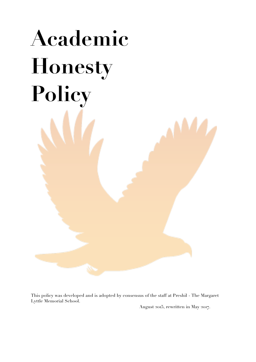# **Academic Honesty Policy**

This policy was developed and is adopted by consensus of the staff at Preshil - The Margaret Lyttle Memorial School.

August 2015, rewritten in May 2017.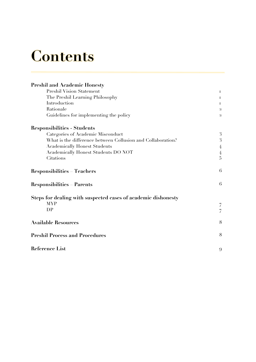# **Contents**

| <b>Preshil and Academic Honesty</b>                           |                |
|---------------------------------------------------------------|----------------|
| <b>Preshil Vision Statement</b>                               | Ι.             |
| The Preshil Learning Philosophy                               | Ι.             |
| Introduction<br>Rationale                                     |                |
|                                                               |                |
| <b>Responsibilities - Students</b>                            |                |
| Categories of Academic Misconduct                             | 3              |
| What is the difference between Collusion and Collaboration?   | 3              |
| <b>Academically Honest Students</b>                           | 4              |
| <b>Academically Honest Students DO NOT</b>                    | 4              |
| Citations                                                     | $\overline{5}$ |
| <b>Responsibilities</b><br><b>Teachers</b>                    | 6              |
| <b>Responsibilities</b><br>Parents                            | 6              |
| Steps for dealing with suspected cases of academic dishonesty |                |
| <b>MYP</b>                                                    | 7              |
| DP                                                            | 7              |
|                                                               |                |
| <b>Available Resources</b>                                    | 8              |
| <b>Preshil Process and Procedures</b>                         | 8              |
| <b>Reference List</b>                                         | 9              |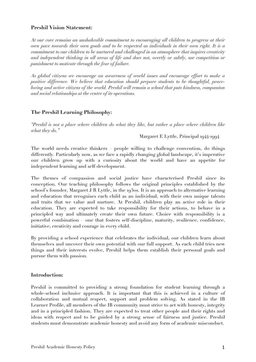#### **Preshil Vision Statement:**

*At our core remains an unshakeable commitment to encouraging all children to progress at their own pace towards their own goals and to be respected as individuals in their own right. It is a commitment to our children to be nurtured and challenged in an atmosphere that inspires creativity and independent thinking in all areas of life and does not, overtly or subtly, use competition or punishment to motivate through the fear of failure.*

*As global citizens we encourage an awareness of world issues and encourage effort to make a positive difference. We believe that education should prepare students to be thoughtful, peaceloving and active citizens of the world. Preshil will remain a school that puts kindness, compassion and social relationships at the centre of its operations.*

#### **The Preshil Learning Philosophy:**

*"Preshil is not a place where children do what they like, but rather a place where children like what they do."* 

Margaret E Lyttle, Principal 1944-1994

The world needs creative thinkers – people willing to challenge convention, do things differently. Particularly now, as we face a rapidly changing global landscape, it's imperative our children grow up with a curiosity about the world and have an appetite for independent learning and self-development.

The themes of compassion and social justice have characterised Preshil since its conception. Our teaching philosophy follows the original principles established by the school's founder, Margaret J R Lyttle, in the 1930s. It is an approach to alternative learning and education that recognises each child as an individual, with their own unique talents and traits that we value and nurture. At Preshil, children play an active role in their education. They are expected to take responsibility for their actions, to behave in a principled way and ultimately create their own future. Choice with responsibility is a powerful combination – one that fosters self-discipline, maturity, resilience, confidence, initiative, creativity and courage in every child.

By providing a school experience that celebrates the individual, our children learn about themselves and uncover their own potential with our full support. As each child tries new things and their interests evolve, Preshil helps them establish their personal goals and pursue them with passion.

#### **Introduction:**

Preshil is committed to providing a strong foundation for student learning through a whole-school inclusive approach. It is important that this is achieved in a culture of collaboration and mutual respect, support and problem solving. As stated in the IB Learner Profile, all members of the IB community must strive to act with honesty, integrity and in a principled fashion. They are expected to treat other people and their rights and ideas with respect and to be guided by a strong sense of fairness and justice. Preshil students must demonstrate academic honesty and avoid any form of academic misconduct.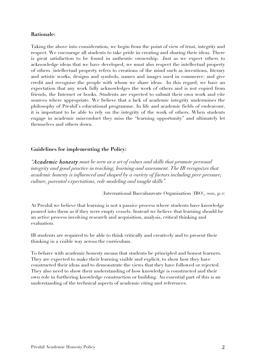#### **Rationale:**

Taking the above into consideration, we begin from the point of view of trust, integrity and respect. We encourage all students to take pride in creating and sharing their ideas. There is great satisfaction to be found in authentic ownership. Just as we expect others to acknowledge ideas that we have developed, we must also respect the intellectual property of others (intellectual property refers to creations of the mind such as inventions, literary and artistic works, designs and symbols, names and images used in commerce) and give credit and recognise the people with whom we share ideas. In this regard, we have an expectation that any work fully acknowledges the work of others and is not copied from friends, the Internet or books. Students are expected to submit their own work and cite sources where appropriate. We believe that a lack of academic integrity undermines the philosophy of Preshil's educational programme. In life and academic fields of endeavour, it is important to be able to rely on the integrity of the work of others. When students engage in academic misconduct they miss the "learning opportunity" and ultimately let themselves and others down.

#### **Guidelines for implementing the Policy:**

*"Academic honesty must be seen as a set of values and skills that promote personal integrity and good practice in teaching, learning and assessment. The IB recognizes that academic honesty is influenced and shaped by a variety of factors including peer pressure, culture, parental expectations, role modeling and taught skills".*

(International Baccalaureate Organisation [IBO], 2011, p.2)

At Preshil we believe that learning is not a passive process where students have knowledge poured into them as if they were empty vessels. Instead we believe that learning should be an active process involving research and acquisition, analysis, critical thinking and evaluation.

IB students are required to be able to think critically and creatively and to present their thinking in a visible way across the curriculum.

To behave with academic honesty means that students be principled and honest learners. They are expected to make their learning visible and explicit, to show how they have constructed their ideas and to demonstrate the views that they have followed or rejected. They also need to show their understanding of how knowledge is constructed and their own role in furthering knowledge construction or building. An essential part of this is an understanding of the technical aspects of academic citing and references.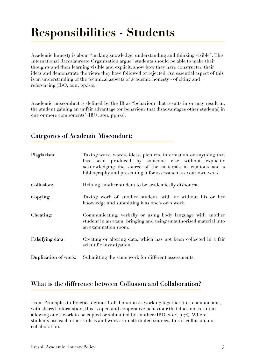## **Responsibilities - Students**

**Academic honesty** is about "making knowledge, understanding and thinking visible". The International Baccalaureate Organisation argue "students should be able to make their thoughts and their learning visible and explicit, show how they have constructed their ideas and demonstrate the views they have followed or rejected. An essential aspect of this is an understanding of the technical aspects of academic honesty - of citing and referencing (IBO, 2011, pp.1-2).

Academic misconduct is defined by the IB as "behaviour that results in or may result in, the student gaining an unfair advantage (or behaviour that disadvantages other students) in one or more components' (IBO, 2011, pp.1-2).

| <b>Categories of Academic Misconduct:</b> |                                                                                                                                                                                                                                                              |
|-------------------------------------------|--------------------------------------------------------------------------------------------------------------------------------------------------------------------------------------------------------------------------------------------------------------|
| Plagiarism:                               | Taking work, words, ideas, pictures, information or anything that<br>has been produced by someone else without explicitly<br>acknowledging the source of the materials in citations and a<br>bibliography and presenting it for assessment as your own work. |
| Collusion:                                | Helping another student to be academically dishonest.                                                                                                                                                                                                        |
| Copying:                                  | Taking work of another student, with or without his or her<br>knowledge and submitting it as one's own work.                                                                                                                                                 |
| Cheating:                                 | Communicating, verbally or using body language with another<br>student in an exam, bringing and using unauthorised material into<br>an examination room.                                                                                                     |
| <b>Falsifying data:</b>                   | Creating or altering data, which has not been collected in a fair<br>scientific investigation.                                                                                                                                                               |
| Duplication of work:                      | Submitting the same work for different assessments.                                                                                                                                                                                                          |

#### **What is the difference between Collusion and Collaboration?**

From Principles to Practice defines Collaboration as working together on a common aim, with shared information; this is open and cooperative behaviour that does not result in allowing one's work to be copied or submitted by another  $(IBO, 2014, p.74)$ . Where students use each other's ideas and work as unattributed sources, this is collusion, not collaboration.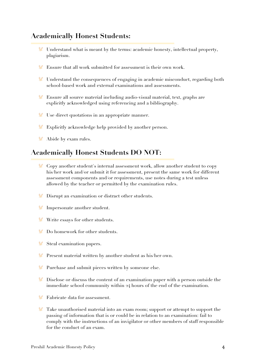#### **Academically Honest Students:**

- Understand what is meant by the terms: academic honesty, intellectual property, plagiarism.
- Ensure that all work submitted for assessment is their own work.
- Understand the consequences of engaging in academic misconduct, regarding both school-based work and external examinations and assessments.
- Ensure all source material including audio-visual material, text, graphs are explicitly acknowledged using referencing and a bibliography.
- Use direct quotations in an appropriate manner.
- Explicitly acknowledge help provided by another person.
- Abide by exam rules.

#### **Academically Honest Students DO NOT:**

- Copy another student's internal assessment work, allow another student to copy V. his/her work and/or submit it for assessment, present the same work for different assessment components and/or requirements, use notes during a test unless allowed by the teacher or permitted by the examination rules.
- Disrupt an examination or distract other students.
- **Impersonate another student.**
- Write essays for other students.
- Do homework for other students.
- Steal examination papers.
- **Present material written by another student as his/her own.**
- **Purchase and submit pieces written by someone else.**
- Disclose or discuss the content of an examination paper with a person outside the immediate school community within 24 hours of the end of the examination.
- **Fabricate data for assessment.**
- Take unauthorised material into an exam room; support or attempt to support the passing of information that is or could be in relation to an examination: fail to comply with the instructions of an invigilator or other members of staff responsible for the conduct of an exam.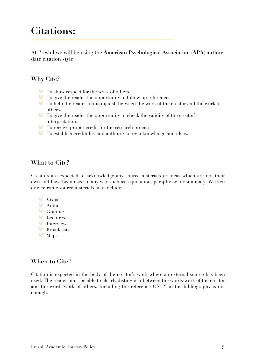### **Citations:**

At Preshil we will be using the **American Psychological Association (APA) authordate citation style**.

#### **Why Cite?**

- To show respect for the work of others.
- To give the reader the opportunity to follow up references.
- To help the reader to distinguish between the work of the creator and the work of others.
- To give the reader the opportunity to check the validity of the creator's interpretation.
- To receive proper credit for the research process.
- To establish credibility and authority of own knowledge and ideas.

#### **What to Cite?**

Creators are expected to acknowledge any source materials or ideas which are not their own and have been used in any way such as a quotation, paraphrase, or summary. Written or electronic source materials may include:

- **V** Visual Audio
- **V** Graphic
- **V** Lectures
- **V** Interviews
- Broadcasts
- **V** Maps

#### **When to Cite?**

Citation is expected in the body of the creator's work where an external source has been used. The reader must be able to clearly distinguish between the words/work of the creator and the words/work of others. Including the reference ONLY in the bibliography is not enough.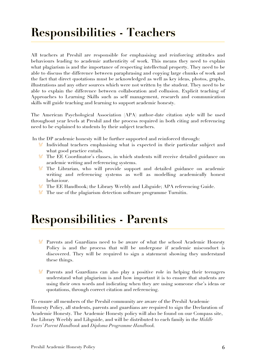## **Responsibilities - Teachers**

All teachers at Preshil are responsible for emphasising and reinforcing attitudes and behaviours leading to academic authenticity of work. This means they need to explain what plagiarism is and the importance of respecting intellectual property. They need to be able to discuss the difference between paraphrasing and copying large chunks of work and the fact that direct quotations must be acknowledged as well as key ideas, photos, graphs, illustrations and any other sources which were not written by the student. They need to be able to explain the difference between collaboration and collusion. Explicit teaching of Approaches to Learning Skills such as self management, research and communication skills will guide teaching and learning to support academic honesty.

The American Psychological Association (APA) author-date citation style will be used throughout year levels at Preshil and the process required in both citing and referencing need to be explained to students by their subject teachers.

In the DP academic honesty will be further supported and reinforced through:

- Individual teachers emphasising what is expected in their particular subject and what good practice entails.
- The EE Coordinator's classes, in which students will receive detailed guidance on academic writing and referencing systems.
- The Librarian, who will provide support and detailed guidance on academic writing and referencing systems as well as modelling academically honest behaviour.
- The EE Handbook; the Library Weebly and Libguide; APA referencing Guide.
- **The use of the plagiarism detection software programme Turnitin.**

## **Responsibilities - Parents**

- Parents and Guardians need to be aware of what the school Academic Honesty Policy is and the process that will be undergone if academic misconduct is discovered. They will be required to sign a statement showing they understand these things.
- Parents and Guardians can also play a positive role in helping their teenagers understand what plagiarism is and how important it is to ensure that students are using their own words and indicating when they are using someone else's ideas or quotations, through correct citation and referencing.

To ensure all members of the Preshil community are aware of the Preshil Academic Honesty Policy, all students, parents and guardians are required to sign the Declaration of Academic Honesty. The Academic Honesty policy will also be found on our Compass site, the Library Weebly and Libguide, and will be distributed to each family in the *Middle Years' Parent Handbook* and *Diploma Programme Handbook.*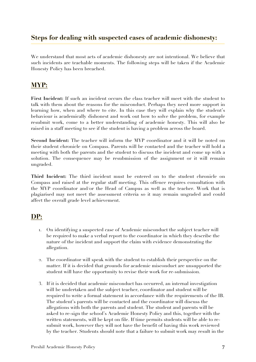#### **Steps for dealing with suspected cases of academic dishonesty:**

We understand that most acts of academic dishonesty are not intentional. We believe that such incidents are teachable moments. The following steps will be taken if the Academic Honesty Policy has been breached.

#### **MYP:**

**First Incident:** If such an incident occurs the class teacher will meet with the student to talk with them about the reasons for the misconduct. Perhaps they need more support in learning how, when and where to cite. In this case they will explain why the student's behaviour is academically dishonest and work out how to solve the problem, for example resubmit work, come to a better understanding of academic honesty. This will also be raised in a staff meeting to see if the student is having a problem across the board.

**Second Incident:** The teacher will inform the MYP coordinator and it will be noted on their student chronicle on Compass. Parents will be contacted and the teacher will hold a meeting with both the parents and the student to discuss the incident and come up with a solution. The consequence may be resubmission of the assignment or it will remain ungraded.

**Third Incident:** The third incident must be entered on to the student chronicle on Compass and raised at the regular staff meeting. This offence requires consultation with the MYP coordinator and/or the Head of Campus as well as the teacher. Work that is plagiarised may not meet the assessment criteria so it may remain ungraded and could affect the overall grade level achievement.

#### **DP:**

- 1. On identifying a suspected case of Academic misconduct the subject teacher will be required to make a verbal report to the coordinator in which they describe the nature of the incident and support the claim with evidence demonstrating the allegation.
- 2. The coordinator will speak with the student to establish their perspective on the matter. If it is decided that grounds for academic misconduct are unsupported the student will have the opportunity to revise their work for re-submission.
- 3. If it is decided that academic misconduct has occurred, an internal investigation will be undertaken and the subject teacher, coordinator and student will be required to write a formal statement in accordance with the requirements of the IB. The student's parents will be contacted and the coordinator will discuss the allegations with both the parents and student. The student and parents will be asked to re-sign the school's Academic Honesty Policy and this, together with the written statements, will be kept on file. If time permits students will be able to resubmit work, however they will not have the benefit of having this work reviewed by the teacher. Students should note that a failure to submit work may result in the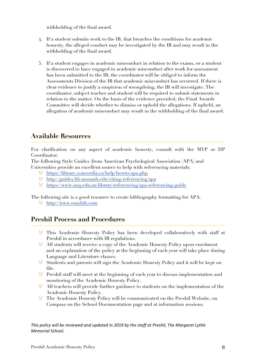withholding of the final award.

- 4. If a student submits work to the IB, that breaches the conditions for academic honesty, the alleged conduct may be investigated by the IB and may result in the withholding of the final award.
- 5. If a student engages in academic misconduct in relation to the exams, or a student is discovered to have engaged in academic misconduct after work for assessment has been submitted to the IB, the coordinator will be obliged to inform the Assessments Division of the IB that academic misconduct has occurred. If there is clear evidence to justify a suspicion of wrongdoing, the IB will investigate. The coordinator, subject teacher and student will be required to submit statements in relation to the matter. On the basis of the evidence provided, the Final Awards Committee will decide whether to dismiss or uphold the allegations. If upheld, an allegation of academic misconduct may result in the withholding of the final award.

#### **Available Resources**

For clarification on any aspect of academic honesty, consult with the MYP or DP Coordinator.

The following Style Guides (from American Psychological Association (APA) and Universities provide an excellent source to help with referencing materials:

- <https://library.concordia.ca/help/howto/apa.php>
- <http://guides.lib.monash.edu/citing-referencing/apa>
- <https://www.usq.edu.au/library/referencing/apa-referencing-guide>

The following site is a good resource to create bibliography formatting for APA.

[http://www.easybib.com](http://www.easybib.com/)

#### **Preshil Process and Procedures**

- This Academic Honesty Policy has been developed collaboratively with staff at Preshil in accordance with IB regulations.
- All students will receive a copy of the Academic Honesty Policy upon enrolment and an explanation of the policy at the beginning of each year will take place during Language and Literature classes.
- Students and parents will sign the Academic Honesty Policy and it will be kept on file.
- Preshil staff will meet at the beginning of each year to discuss implementation and monitoring of the Academic Honesty Policy.
- All teachers will provide further guidance to students on the implementation of the Academic Honesty Policy.
- The Academic Honesty Policy will be communicated on the Preshil Website, on V. Compass on the School Documentation page and at information sessions.

This policy will be reviewed and updated in 2019 by the staff at Preshil, The Margaret Lyttle *Memorial School.*